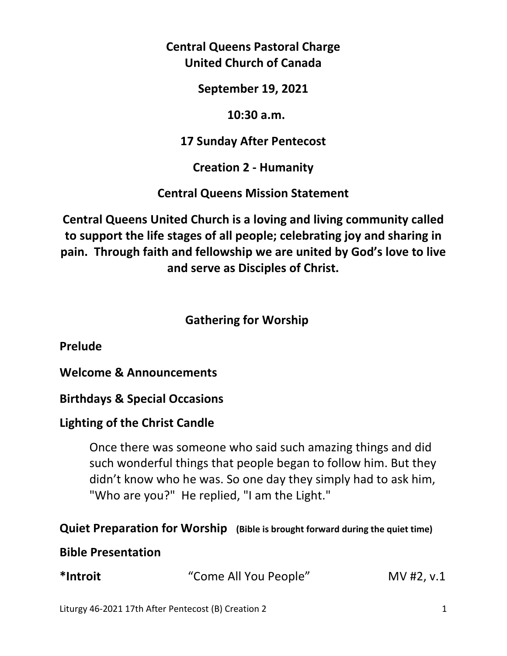**Central Queens Pastoral Charge United Church of Canada** 

**September 19, 2021** 

 **10:30 a.m.** 

**17 Sunday After Pentecost** 

**Creation 2 - Humanity** 

**Central Queens Mission Statement** 

**Central Queens United Church is a loving and living community called to support the life stages of all people; celebrating joy and sharing in pain. Through faith and fellowship we are united by God's love to live and serve as Disciples of Christ.**

# **Gathering for Worship**

**Prelude** 

**Welcome & Announcements** 

**Birthdays & Special Occasions** 

# **Lighting of the Christ Candle**

 Once there was someone who said such amazing things and did such wonderful things that people began to follow him. But they didn't know who he was. So one day they simply had to ask him, "Who are you?" He replied, "I am the Light."

# **Quiet Preparation for Worship (Bible is brought forward during the quiet time)**

## **Bible Presentation**

| *Introit | "Come All You People" | $MV$ #2, v.1 |
|----------|-----------------------|--------------|
|----------|-----------------------|--------------|

Liturgy 46-2021 17th After Pentecost (B) Creation 2 1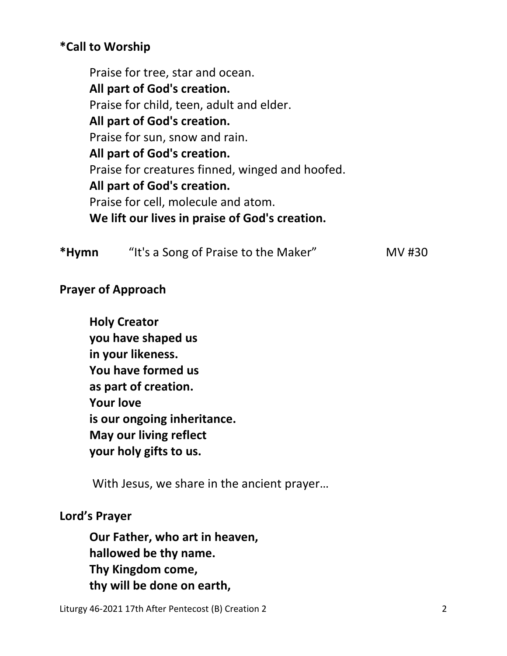# **\*Call to Worship**

 Praise for tree, star and ocean. **All part of God's creation.**  Praise for child, teen, adult and elder. **All part of God's creation.**  Praise for sun, snow and rain. **All part of God's creation.**  Praise for creatures finned, winged and hoofed. **All part of God's creation.**  Praise for cell, molecule and atom. **We lift our lives in praise of God's creation.** 

| *Hymn | "It's a Song of Praise to the Maker" | MV #30 |
|-------|--------------------------------------|--------|
|-------|--------------------------------------|--------|

# **Prayer of Approach**

 **Holy Creator you have shaped us in your likeness. You have formed us as part of creation. Your love is our ongoing inheritance. May our living reflect your holy gifts to us.** 

With Jesus, we share in the ancient prayer…

#### **Lord's Prayer**

**Our Father, who art in heaven, hallowed be thy name. Thy Kingdom come, thy will be done on earth,** 

Liturgy 46-2021 17th After Pentecost (B) Creation 2 2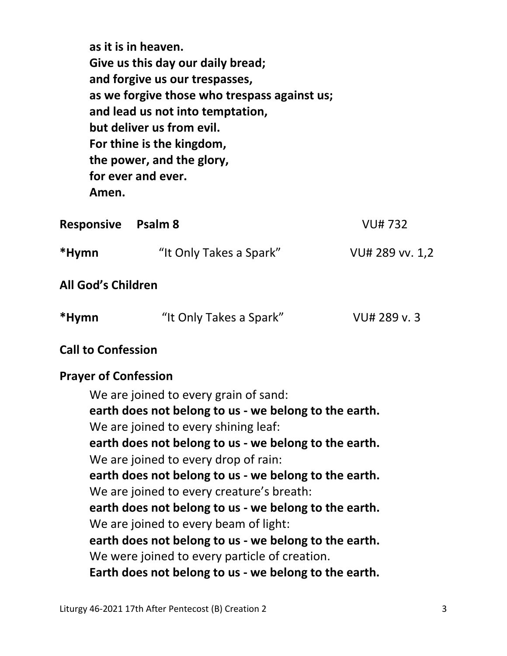**as it is in heaven. Give us this day our daily bread; and forgive us our trespasses, as we forgive those who trespass against us; and lead us not into temptation, but deliver us from evil. For thine is the kingdom, the power, and the glory, for ever and ever. Amen.** 

| <b>Responsive</b> Psalm 8 |                         | <b>VU#732</b>   |
|---------------------------|-------------------------|-----------------|
| *Hymn                     | "It Only Takes a Spark" | VU# 289 vv. 1,2 |
| <b>All God's Children</b> |                         |                 |

## **Call to Confession**

#### **Prayer of Confession**

We are joined to every grain of sand: **earth does not belong to us - we belong to the earth.**  We are joined to every shining leaf: **earth does not belong to us - we belong to the earth.**  We are joined to every drop of rain: **earth does not belong to us - we belong to the earth.**  We are joined to every creature's breath: **earth does not belong to us - we belong to the earth.**  We are joined to every beam of light: **earth does not belong to us - we belong to the earth.**  We were joined to every particle of creation. **Earth does not belong to us - we belong to the earth.**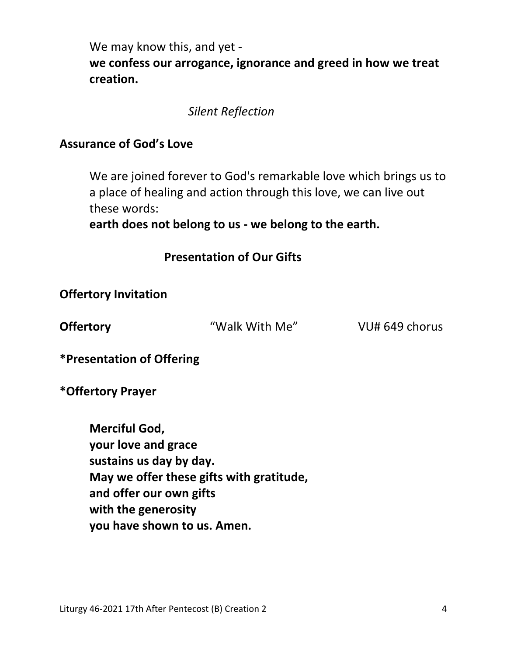We may know this, and yet **we confess our arrogance, ignorance and greed in how we treat creation.** 

*Silent Reflection* 

### **Assurance of God's Love**

We are joined forever to God's remarkable love which brings us to a place of healing and action through this love, we can live out these words:

 **earth does not belong to us - we belong to the earth.** 

 **Presentation of Our Gifts** 

**Offertory Invitation** 

**Offertory Walk With Me"** VU# 649 chorus

**\*Presentation of Offering** 

**\*Offertory Prayer** 

 **Merciful God, your love and grace sustains us day by day. May we offer these gifts with gratitude, and offer our own gifts with the generosity you have shown to us. Amen.**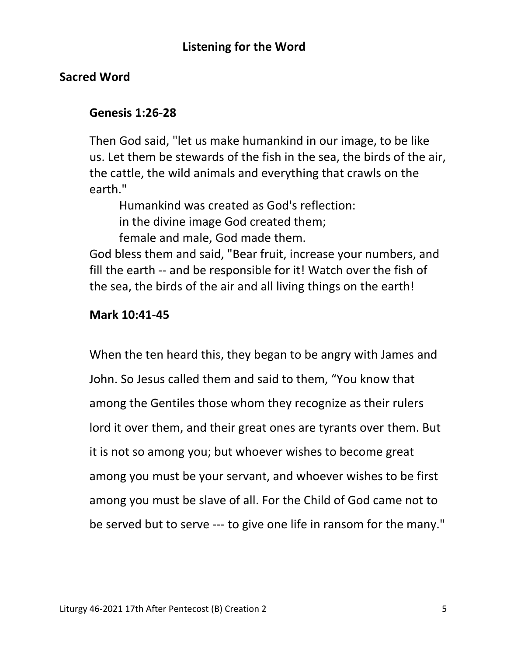# **Sacred Word**

## **Genesis 1:26-28**

Then God said, "let us make humankind in our image, to be like us. Let them be stewards of the fish in the sea, the birds of the air, the cattle, the wild animals and everything that crawls on the earth."

Humankind was created as God's reflection:

in the divine image God created them;

female and male, God made them.

 God bless them and said, "Bear fruit, increase your numbers, and fill the earth -- and be responsible for it! Watch over the fish of the sea, the birds of the air and all living things on the earth!

## **Mark 10:41-45**

When the ten heard this, they began to be angry with James and John. So Jesus called them and said to them, "You know that among the Gentiles those whom they recognize as their rulers lord it over them, and their great ones are tyrants over them. But it is not so among you; but whoever wishes to become great among you must be your servant, and whoever wishes to be first among you must be slave of all. For the Child of God came not to be served but to serve --- to give one life in ransom for the many."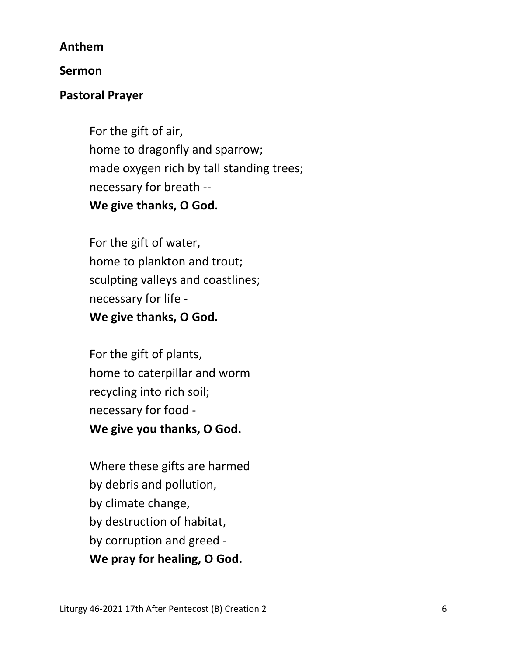### **Anthem**

### **Sermon**

## **Pastoral Prayer**

For the gift of air, home to dragonfly and sparrow; made oxygen rich by tall standing trees; necessary for breath --  **We give thanks, O God.** 

For the gift of water, home to plankton and trout; sculpting valleys and coastlines; necessary for life -  **We give thanks, O God.** 

For the gift of plants, home to caterpillar and worm recycling into rich soil; necessary for food -  **We give you thanks, O God.** 

Where these gifts are harmed by debris and pollution, by climate change, by destruction of habitat, by corruption and greed -  **We pray for healing, O God.**